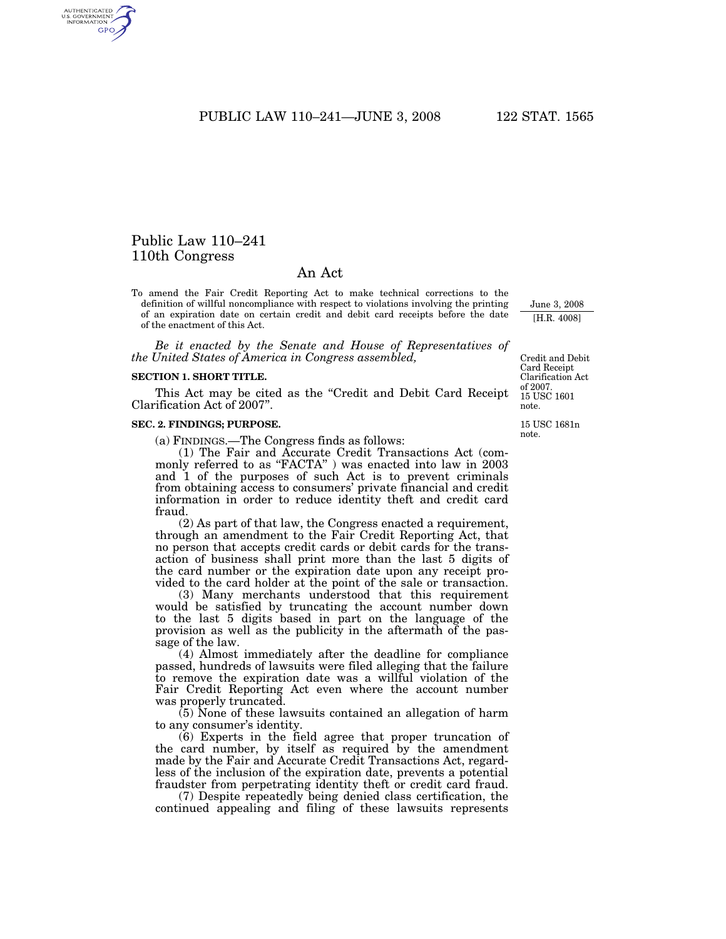PUBLIC LAW 110–241—JUNE 3, 2008 122 STAT. 1565

# Public Law 110–241 110th Congress

AUTHENTICATED<br>U.S. GOVERNMENT<br>INFORMATION GPO

## An Act

To amend the Fair Credit Reporting Act to make technical corrections to the definition of willful noncompliance with respect to violations involving the printing of an expiration date on certain credit and debit card receipts before the date of the enactment of this Act.

*Be it enacted by the Senate and House of Representatives of the United States of America in Congress assembled,* 

#### **SECTION 1. SHORT TITLE.**

This Act may be cited as the "Credit and Debit Card Receipt Clarification Act of 2007''.

#### **SEC. 2. FINDINGS; PURPOSE.**

(a) FINDINGS.—The Congress finds as follows:

(1) The Fair and Accurate Credit Transactions Act (commonly referred to as "FACTA" ) was enacted into law in 2003 and 1 of the purposes of such Act is to prevent criminals from obtaining access to consumers' private financial and credit information in order to reduce identity theft and credit card fraud.

(2) As part of that law, the Congress enacted a requirement, through an amendment to the Fair Credit Reporting Act, that no person that accepts credit cards or debit cards for the transaction of business shall print more than the last 5 digits of the card number or the expiration date upon any receipt provided to the card holder at the point of the sale or transaction.

(3) Many merchants understood that this requirement would be satisfied by truncating the account number down to the last 5 digits based in part on the language of the provision as well as the publicity in the aftermath of the passage of the law.

(4) Almost immediately after the deadline for compliance passed, hundreds of lawsuits were filed alleging that the failure to remove the expiration date was a willful violation of the Fair Credit Reporting Act even where the account number was properly truncated.

(5) None of these lawsuits contained an allegation of harm to any consumer's identity.

(6) Experts in the field agree that proper truncation of the card number, by itself as required by the amendment made by the Fair and Accurate Credit Transactions Act, regardless of the inclusion of the expiration date, prevents a potential fraudster from perpetrating identity theft or credit card fraud.

(7) Despite repeatedly being denied class certification, the continued appealing and filing of these lawsuits represents

15 USC 1601 note. Credit and Debit Card Receipt Clarification Act of 2007.

June 3, 2008 [H.R. 4008]

15 USC 1681n note.